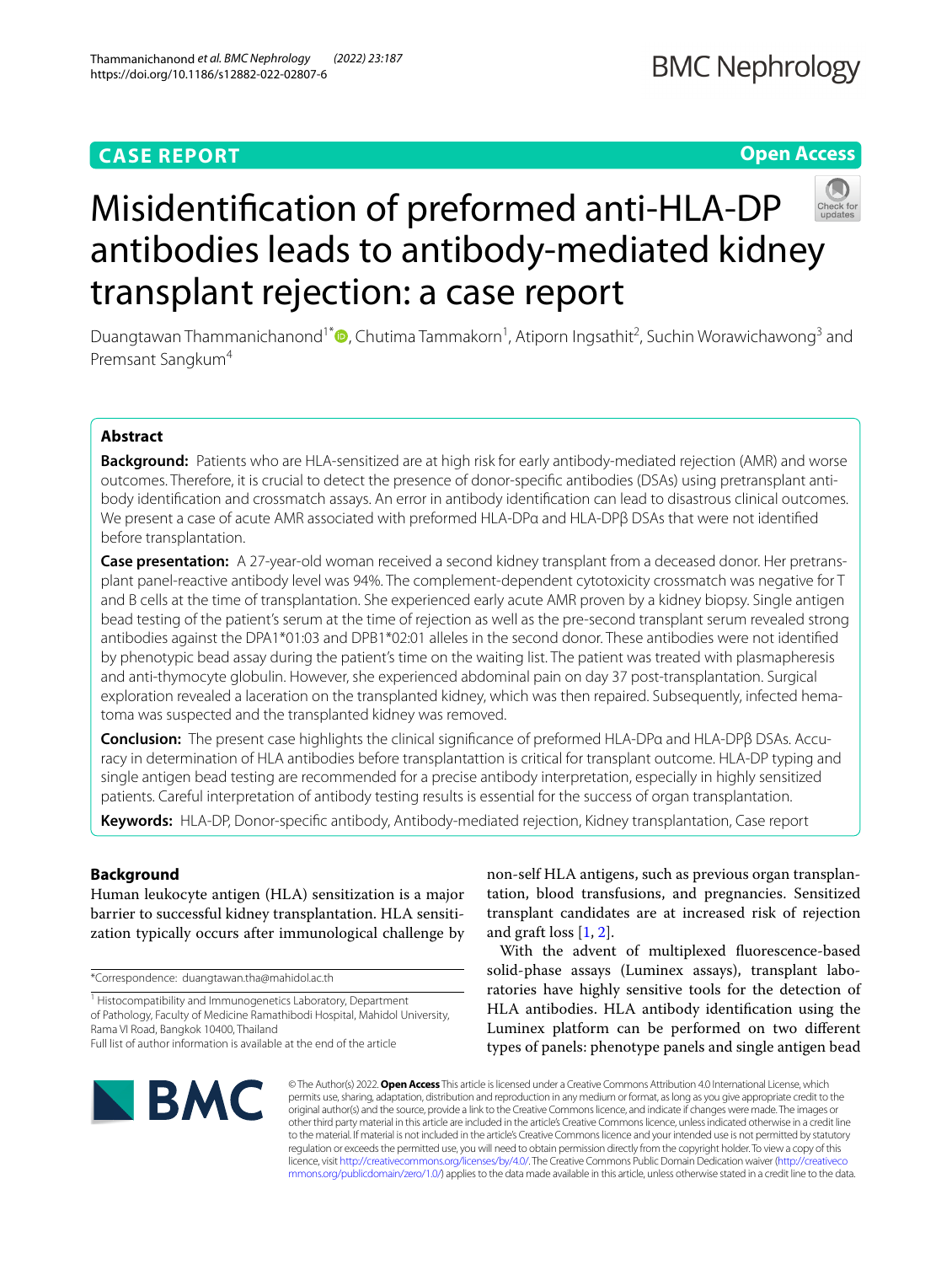## **CASE REPORT**

## **BMC Nephrology**

## **Open Access**



# Misidentifcation of preformed anti-HLA-DP antibodies leads to antibody-mediated kidney transplant rejection: a case report

Duangtawan Thammanichanond<sup>1[\\*](http://orcid.org/0000-0003-1176-6872)</sup><sup>®</sup>, Chutima Tammakorn<sup>1</sup>, Atiporn Ingsathit<sup>2</sup>, Suchin Worawichawong<sup>3</sup> and Premsant Sangkum<sup>4</sup>

## **Abstract**

**Background:** Patients who are HLA-sensitized are at high risk for early antibody-mediated rejection (AMR) and worse outcomes. Therefore, it is crucial to detect the presence of donor-specifc antibodies (DSAs) using pretransplant antibody identifcation and crossmatch assays. An error in antibody identifcation can lead to disastrous clinical outcomes. We present a case of acute AMR associated with preformed HLA-DPα and HLA-DPβ DSAs that were not identifed before transplantation.

**Case presentation:** A 27-year-old woman received a second kidney transplant from a deceased donor. Her pretransplant panel-reactive antibody level was 94%. The complement-dependent cytotoxicity crossmatch was negative for T and B cells at the time of transplantation. She experienced early acute AMR proven by a kidney biopsy. Single antigen bead testing of the patient's serum at the time of rejection as well as the pre-second transplant serum revealed strong antibodies against the DPA1\*01:03 and DPB1\*02:01 alleles in the second donor. These antibodies were not identifed by phenotypic bead assay during the patient's time on the waiting list. The patient was treated with plasmapheresis and anti-thymocyte globulin. However, she experienced abdominal pain on day 37 post-transplantation. Surgical exploration revealed a laceration on the transplanted kidney, which was then repaired. Subsequently, infected hematoma was suspected and the transplanted kidney was removed.

**Conclusion:** The present case highlights the clinical signifcance of preformed HLA-DPα and HLA-DPβ DSAs. Accuracy in determination of HLA antibodies before transplantattion is critical for transplant outcome. HLA-DP typing and single antigen bead testing are recommended for a precise antibody interpretation, especially in highly sensitized patients. Careful interpretation of antibody testing results is essential for the success of organ transplantation.

**Keywords:** HLA-DP, Donor-specifc antibody, Antibody-mediated rejection, Kidney transplantation, Case report

### **Background**

Human leukocyte antigen (HLA) sensitization is a major barrier to successful kidney transplantation. HLA sensitization typically occurs after immunological challenge by

\*Correspondence: duangtawan.tha@mahidol.ac.th

<sup>1</sup> Histocompatibility and Immunogenetics Laboratory, Department of Pathology, Faculty of Medicine Ramathibodi Hospital, Mahidol University, Rama VI Road, Bangkok 10400, Thailand

non-self HLA antigens, such as previous organ transplantation, blood transfusions, and pregnancies. Sensitized transplant candidates are at increased risk of rejection and graft loss [[1,](#page-5-0) [2](#page-5-1)].

With the advent of multiplexed fuorescence-based solid-phase assays (Luminex assays), transplant laboratories have highly sensitive tools for the detection of HLA antibodies. HLA antibody identifcation using the Luminex platform can be performed on two diferent types of panels: phenotype panels and single antigen bead



© The Author(s) 2022. **Open Access** This article is licensed under a Creative Commons Attribution 4.0 International License, which permits use, sharing, adaptation, distribution and reproduction in any medium or format, as long as you give appropriate credit to the original author(s) and the source, provide a link to the Creative Commons licence, and indicate if changes were made. The images or other third party material in this article are included in the article's Creative Commons licence, unless indicated otherwise in a credit line to the material. If material is not included in the article's Creative Commons licence and your intended use is not permitted by statutory regulation or exceeds the permitted use, you will need to obtain permission directly from the copyright holder. To view a copy of this licence, visit [http://creativecommons.org/licenses/by/4.0/.](http://creativecommons.org/licenses/by/4.0/) The Creative Commons Public Domain Dedication waiver ([http://creativeco](http://creativecommons.org/publicdomain/zero/1.0/) [mmons.org/publicdomain/zero/1.0/](http://creativecommons.org/publicdomain/zero/1.0/)) applies to the data made available in this article, unless otherwise stated in a credit line to the data.

Full list of author information is available at the end of the article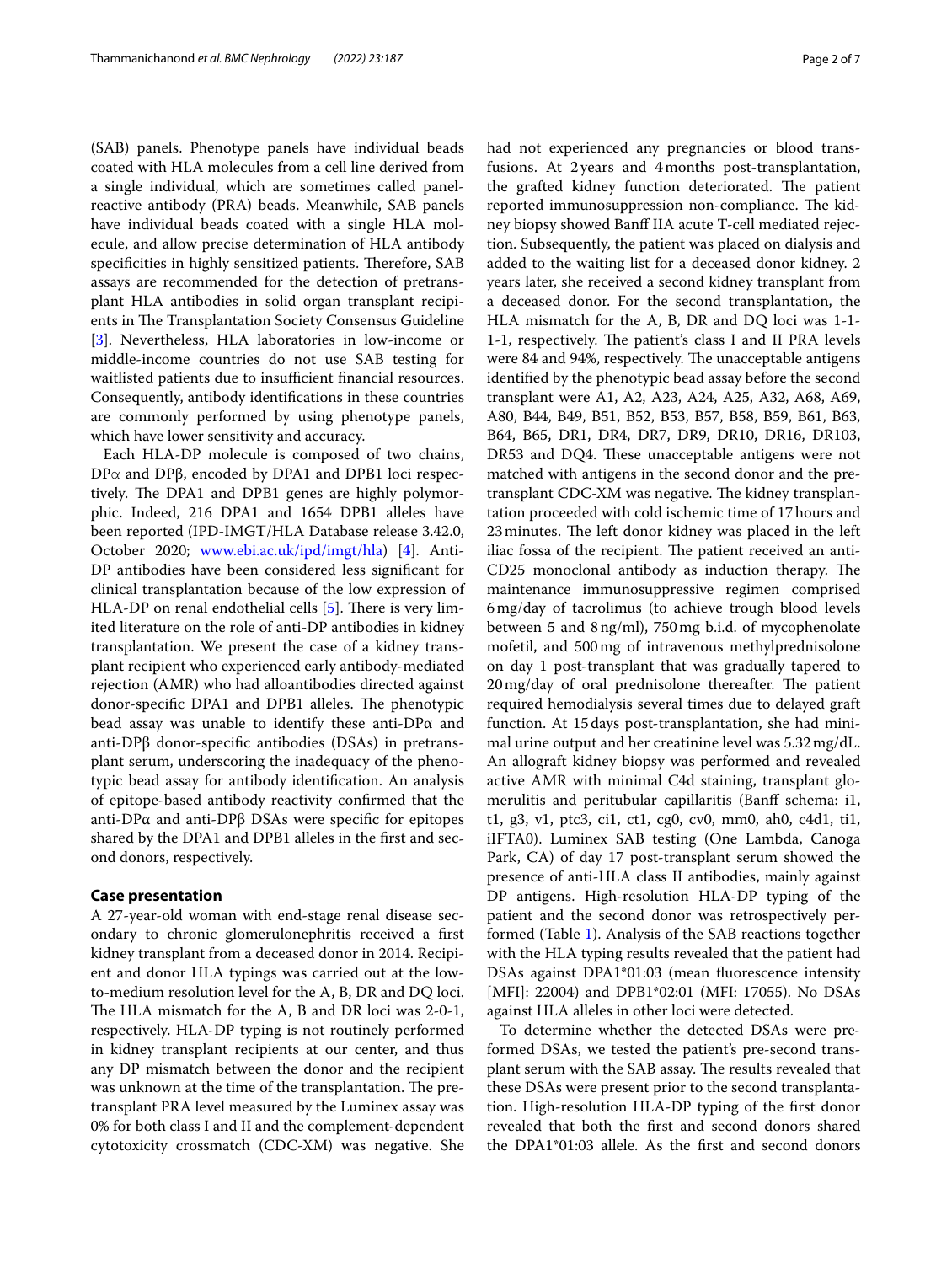(SAB) panels. Phenotype panels have individual beads coated with HLA molecules from a cell line derived from a single individual, which are sometimes called panelreactive antibody (PRA) beads. Meanwhile, SAB panels have individual beads coated with a single HLA molecule, and allow precise determination of HLA antibody specificities in highly sensitized patients. Therefore, SAB assays are recommended for the detection of pretransplant HLA antibodies in solid organ transplant recipients in The Transplantation Society Consensus Guideline [[3\]](#page-5-2). Nevertheless, HLA laboratories in low-income or middle-income countries do not use SAB testing for waitlisted patients due to insufficient financial resources. Consequently, antibody identifcations in these countries are commonly performed by using phenotype panels, which have lower sensitivity and accuracy.

Each HLA-DP molecule is composed of two chains,  $DPα$  and  $DPβ$ , encoded by DPA1 and DPB1 loci respectively. The DPA1 and DPB1 genes are highly polymorphic. Indeed, 216 DPA1 and 1654 DPB1 alleles have been reported (IPD-IMGT/HLA Database release 3.42.0, October 2020; [www.ebi.ac.uk/ipd/imgt/hla\)](http://www.ebi.ac.uk/ipd/imgt/hla) [\[4](#page-5-3)]. Anti-DP antibodies have been considered less signifcant for clinical transplantation because of the low expression of HLA-DP on renal endothelial cells  $[5]$  $[5]$ . There is very limited literature on the role of anti-DP antibodies in kidney transplantation. We present the case of a kidney transplant recipient who experienced early antibody-mediated rejection (AMR) who had alloantibodies directed against donor-specific DPA1 and DPB1 alleles. The phenotypic bead assay was unable to identify these anti-DPα and anti-DPβ donor-specifc antibodies (DSAs) in pretransplant serum, underscoring the inadequacy of the phenotypic bead assay for antibody identifcation. An analysis of epitope-based antibody reactivity confrmed that the anti-DPα and anti-DPβ DSAs were specifc for epitopes shared by the DPA1 and DPB1 alleles in the frst and second donors, respectively.

#### **Case presentation**

A 27-year-old woman with end-stage renal disease secondary to chronic glomerulonephritis received a frst kidney transplant from a deceased donor in 2014. Recipient and donor HLA typings was carried out at the lowto-medium resolution level for the A, B, DR and DQ loci. The HLA mismatch for the A, B and DR loci was 2-0-1, respectively. HLA-DP typing is not routinely performed in kidney transplant recipients at our center, and thus any DP mismatch between the donor and the recipient was unknown at the time of the transplantation. The pretransplant PRA level measured by the Luminex assay was 0% for both class I and II and the complement-dependent cytotoxicity crossmatch (CDC-XM) was negative. She had not experienced any pregnancies or blood transfusions. At 2 years and 4months post-transplantation, the grafted kidney function deteriorated. The patient reported immunosuppression non-compliance. The kidney biopsy showed Banf IIA acute T-cell mediated rejection. Subsequently, the patient was placed on dialysis and added to the waiting list for a deceased donor kidney. 2 years later, she received a second kidney transplant from a deceased donor. For the second transplantation, the HLA mismatch for the A, B, DR and DQ loci was 1-1- 1-1, respectively. The patient's class I and II PRA levels were 84 and 94%, respectively. The unacceptable antigens identifed by the phenotypic bead assay before the second transplant were A1, A2, A23, A24, A25, A32, A68, A69, A80, B44, B49, B51, B52, B53, B57, B58, B59, B61, B63, B64, B65, DR1, DR4, DR7, DR9, DR10, DR16, DR103, DR53 and DQ4. These unacceptable antigens were not matched with antigens in the second donor and the pretransplant CDC-XM was negative. The kidney transplantation proceeded with cold ischemic time of 17hours and 23 minutes. The left donor kidney was placed in the left iliac fossa of the recipient. The patient received an anti-CD25 monoclonal antibody as induction therapy. The maintenance immunosuppressive regimen comprised 6mg/day of tacrolimus (to achieve trough blood levels between 5 and 8ng/ml), 750mg b.i.d. of mycophenolate mofetil, and 500mg of intravenous methylprednisolone on day 1 post-transplant that was gradually tapered to  $20$  mg/day of oral prednisolone thereafter. The patient required hemodialysis several times due to delayed graft function. At 15days post-transplantation, she had minimal urine output and her creatinine level was 5.32mg/dL. An allograft kidney biopsy was performed and revealed active AMR with minimal C4d staining, transplant glomerulitis and peritubular capillaritis (Banff schema: i1, t1, g3, v1, ptc3, ci1, ct1, cg0, cv0, mm0, ah0, c4d1, ti1, iIFTA0). Luminex SAB testing (One Lambda, Canoga Park, CA) of day 17 post-transplant serum showed the presence of anti-HLA class II antibodies, mainly against DP antigens. High-resolution HLA-DP typing of the patient and the second donor was retrospectively performed (Table [1\)](#page-2-0). Analysis of the SAB reactions together with the HLA typing results revealed that the patient had DSAs against DPA1\*01:03 (mean fuorescence intensity [MFI]: 22004) and DPB1\*02:01 (MFI: 17055). No DSAs against HLA alleles in other loci were detected.

To determine whether the detected DSAs were preformed DSAs, we tested the patient's pre-second transplant serum with the SAB assay. The results revealed that these DSAs were present prior to the second transplantation. High-resolution HLA-DP typing of the frst donor revealed that both the frst and second donors shared the DPA1\*01:03 allele. As the frst and second donors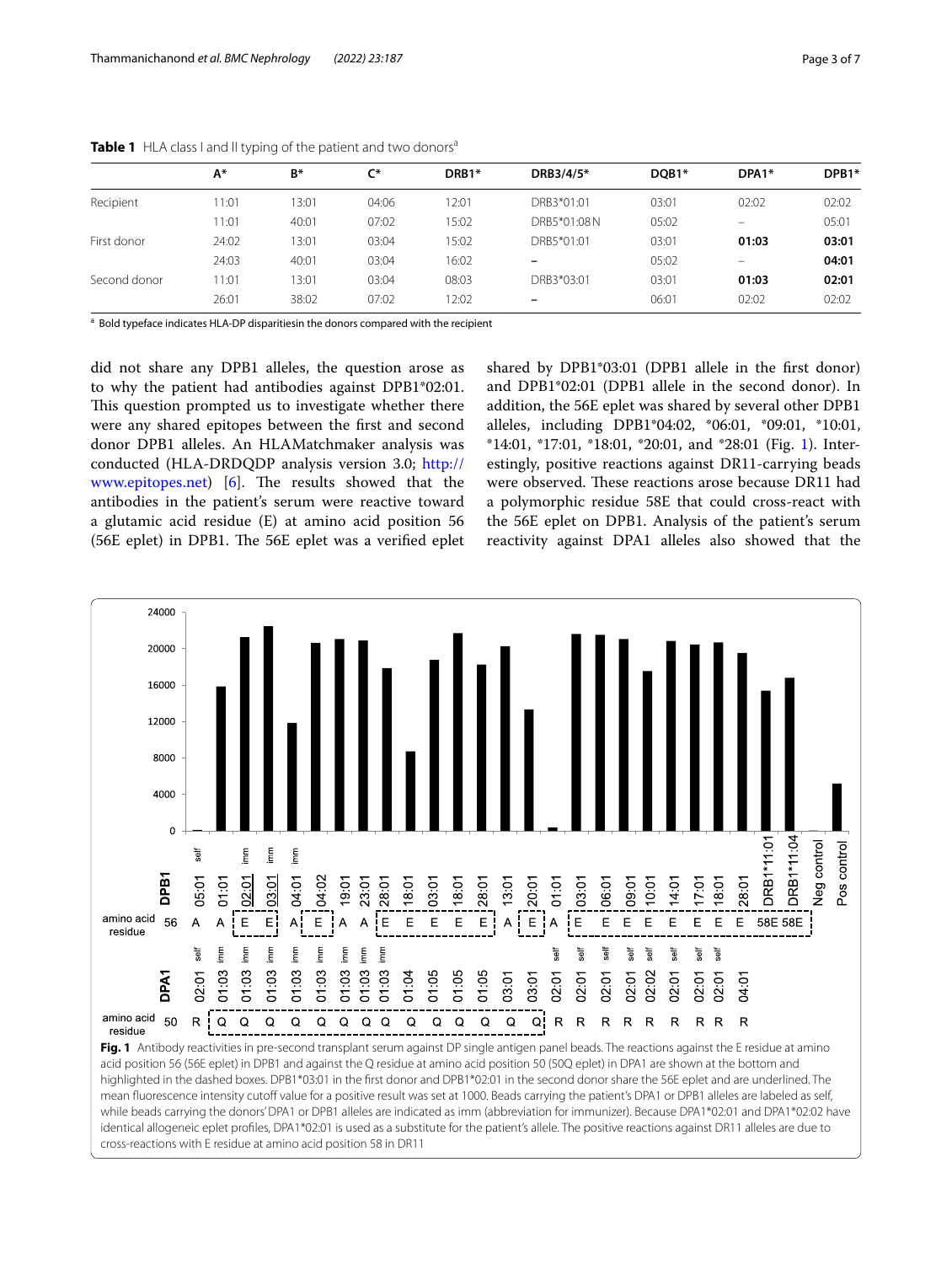|              | A*    | B*    | $C^*$ | DRB1* | DRB3/4/5*   | DOB1* | DPA1*                    | DPB1* |
|--------------|-------|-------|-------|-------|-------------|-------|--------------------------|-------|
| Recipient    | 11:01 | 13:01 | 04:06 | 12:01 | DRB3*01:01  | 03:01 | 02:02                    | 02:02 |
|              | 11:01 | 40:01 | 07:02 | 15:02 | DRB5*01:08N | 05:02 | $\overline{\phantom{0}}$ | 05:01 |
| First donor  | 24:02 | 13:01 | 03:04 | 15:02 | DRB5*01:01  | 03:01 | 01:03                    | 03:01 |
|              | 24:03 | 40:01 | 03:04 | 16:02 | -           | 05:02 | $\overline{\phantom{0}}$ | 04:01 |
| Second donor | 11:01 | 13:01 | 03:04 | 08:03 | DRB3*03:01  | 03:01 | 01:03                    | 02:01 |
|              | 26:01 | 38:02 | 07:02 | 12:02 | -           | 06:01 | 02:02                    | 02:02 |

<span id="page-2-0"></span>

| Table 1 HLA class I and II typing of the patient and two donors <sup>a</sup> |  |
|------------------------------------------------------------------------------|--|
|------------------------------------------------------------------------------|--|

<sup>a</sup> Bold typeface indicates HLA-DP disparitiesin the donors compared with the recipient

did not share any DPB1 alleles, the question arose as to why the patient had antibodies against DPB1\*02:01. This question prompted us to investigate whether there were any shared epitopes between the frst and second donor DPB1 alleles. An HLAMatchmaker analysis was conducted (HLA-DRDQDP analysis version 3.0; [http://](http://www.epitopes.net) [www.epitopes.net\)](http://www.epitopes.net)  $[6]$ . The results showed that the antibodies in the patient's serum were reactive toward a glutamic acid residue (E) at amino acid position 56 (56E eplet) in DPB1. The 56E eplet was a verified eplet shared by DPB1\*03:01 (DPB1 allele in the frst donor) and DPB1\*02:01 (DPB1 allele in the second donor). In addition, the 56E eplet was shared by several other DPB1 alleles, including DPB1\*04:02, \*06:01, \*09:01, \*10:01, \*14:01, \*17:01, \*18:01, \*20:01, and \*28:01 (Fig. [1\)](#page-2-1). Interestingly, positive reactions against DR11-carrying beads were observed. These reactions arose because DR11 had a polymorphic residue 58E that could cross-react with the 56E eplet on DPB1. Analysis of the patient's serum reactivity against DPA1 alleles also showed that the

<span id="page-2-1"></span>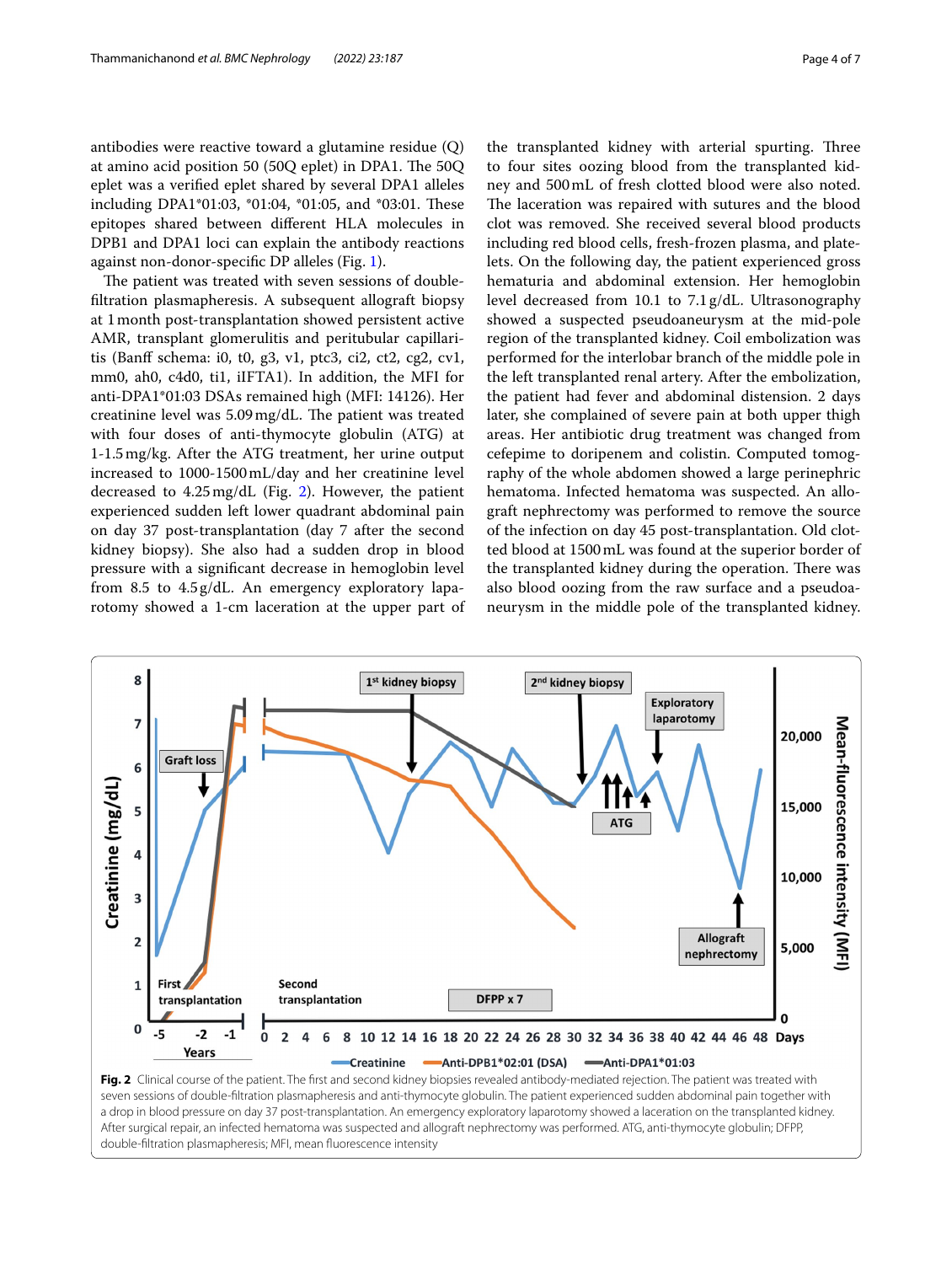antibodies were reactive toward a glutamine residue (Q) at amino acid position 50 (50Q eplet) in DPA1. The  $50Q$ eplet was a verifed eplet shared by several DPA1 alleles including DPA1\*01:03, \*01:04, \*01:05, and \*03:01. These epitopes shared between diferent HLA molecules in DPB1 and DPA1 loci can explain the antibody reactions against non-donor-specifc DP alleles (Fig. [1](#page-2-1)).

The patient was treated with seven sessions of doublefltration plasmapheresis. A subsequent allograft biopsy at 1month post-transplantation showed persistent active AMR, transplant glomerulitis and peritubular capillaritis (Banff schema: i0, t0, g3, v1, ptc3, ci2, ct2, cg2, cv1, mm0, ah0, c4d0, ti1, iIFTA1). In addition, the MFI for anti-DPA1\*01:03 DSAs remained high (MFI: 14126). Her creatinine level was 5.09 mg/dL. The patient was treated with four doses of anti-thymocyte globulin (ATG) at 1-1.5mg/kg. After the ATG treatment, her urine output increased to 1000-1500mL/day and her creatinine level decreased to  $4.25 \text{ mg/dL}$  (Fig. [2\)](#page-3-0). However, the patient experienced sudden left lower quadrant abdominal pain on day 37 post-transplantation (day 7 after the second kidney biopsy). She also had a sudden drop in blood pressure with a signifcant decrease in hemoglobin level from 8.5 to 4.5g/dL. An emergency exploratory laparotomy showed a 1-cm laceration at the upper part of

the transplanted kidney with arterial spurting. Three to four sites oozing blood from the transplanted kidney and 500mL of fresh clotted blood were also noted. The laceration was repaired with sutures and the blood clot was removed. She received several blood products including red blood cells, fresh-frozen plasma, and platelets. On the following day, the patient experienced gross hematuria and abdominal extension. Her hemoglobin level decreased from 10.1 to 7.1g/dL. Ultrasonography showed a suspected pseudoaneurysm at the mid-pole region of the transplanted kidney. Coil embolization was performed for the interlobar branch of the middle pole in the left transplanted renal artery. After the embolization, the patient had fever and abdominal distension. 2 days later, she complained of severe pain at both upper thigh areas. Her antibiotic drug treatment was changed from cefepime to doripenem and colistin. Computed tomography of the whole abdomen showed a large perinephric hematoma. Infected hematoma was suspected. An allograft nephrectomy was performed to remove the source of the infection on day 45 post-transplantation. Old clotted blood at 1500mL was found at the superior border of the transplanted kidney during the operation. There was also blood oozing from the raw surface and a pseudoaneurysm in the middle pole of the transplanted kidney.

<span id="page-3-0"></span>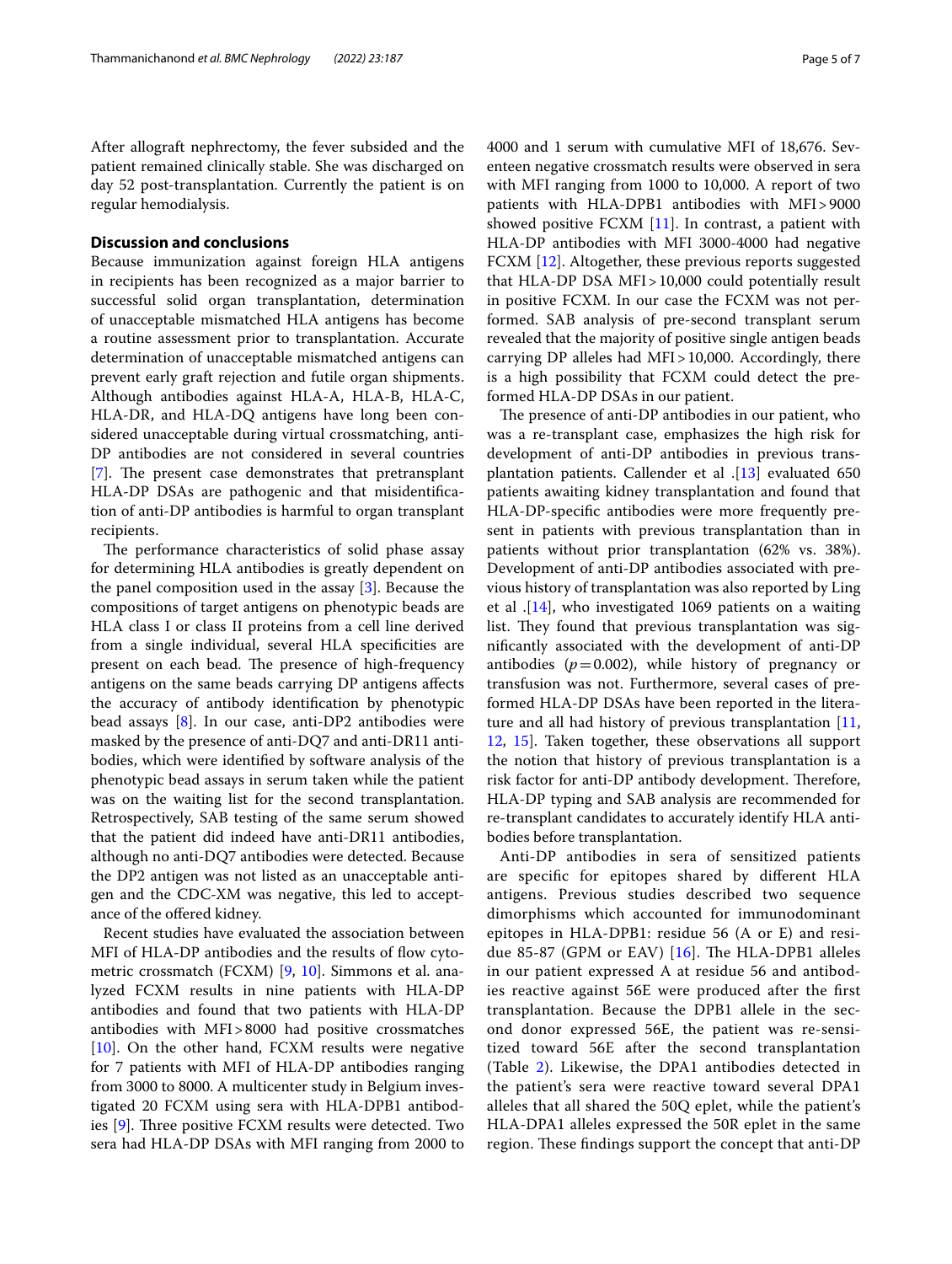After allograft nephrectomy, the fever subsided and the patient remained clinically stable. She was discharged on day 52 post-transplantation. Currently the patient is on regular hemodialysis.

#### **Discussion and conclusions**

Because immunization against foreign HLA antigens in recipients has been recognized as a major barrier to successful solid organ transplantation, determination of unacceptable mismatched HLA antigens has become a routine assessment prior to transplantation. Accurate determination of unacceptable mismatched antigens can prevent early graft rejection and futile organ shipments. Although antibodies against HLA-A, HLA-B, HLA-C, HLA-DR, and HLA-DQ antigens have long been considered unacceptable during virtual crossmatching, anti-DP antibodies are not considered in several countries [[7\]](#page-6-0). The present case demonstrates that pretransplant HLA-DP DSAs are pathogenic and that misidentifcation of anti-DP antibodies is harmful to organ transplant recipients.

The performance characteristics of solid phase assay for determining HLA antibodies is greatly dependent on the panel composition used in the assay [\[3\]](#page-5-2). Because the compositions of target antigens on phenotypic beads are HLA class I or class II proteins from a cell line derived from a single individual, several HLA specifcities are present on each bead. The presence of high-frequency antigens on the same beads carrying DP antigens afects the accuracy of antibody identifcation by phenotypic bead assays [[8\]](#page-6-1). In our case, anti-DP2 antibodies were masked by the presence of anti-DQ7 and anti-DR11 antibodies, which were identifed by software analysis of the phenotypic bead assays in serum taken while the patient was on the waiting list for the second transplantation. Retrospectively, SAB testing of the same serum showed that the patient did indeed have anti-DR11 antibodies, although no anti-DQ7 antibodies were detected. Because the DP2 antigen was not listed as an unacceptable antigen and the CDC-XM was negative, this led to acceptance of the ofered kidney.

Recent studies have evaluated the association between MFI of HLA-DP antibodies and the results of flow cytometric crossmatch (FCXM) [[9,](#page-6-2) [10](#page-6-3)]. Simmons et al. analyzed FCXM results in nine patients with HLA-DP antibodies and found that two patients with HLA-DP antibodies with MFI>8000 had positive crossmatches [[10\]](#page-6-3). On the other hand, FCXM results were negative for 7 patients with MFI of HLA-DP antibodies ranging from 3000 to 8000. A multicenter study in Belgium investigated 20 FCXM using sera with HLA-DPB1 antibodies  $[9]$  $[9]$ . Three positive FCXM results were detected. Two sera had HLA-DP DSAs with MFI ranging from 2000 to 4000 and 1 serum with cumulative MFI of 18,676. Seventeen negative crossmatch results were observed in sera with MFI ranging from 1000 to 10,000. A report of two patients with HLA-DPB1 antibodies with MFI>9000 showed positive FCXM [[11](#page-6-4)]. In contrast, a patient with HLA-DP antibodies with MFI 3000-4000 had negative FCXM [[12](#page-6-5)]. Altogether, these previous reports suggested that HLA-DP DSA MFI>10,000 could potentially result in positive FCXM. In our case the FCXM was not performed. SAB analysis of pre-second transplant serum revealed that the majority of positive single antigen beads carrying DP alleles had MFI>10,000. Accordingly, there is a high possibility that FCXM could detect the preformed HLA-DP DSAs in our patient.

The presence of anti-DP antibodies in our patient, who was a re-transplant case, emphasizes the high risk for development of anti-DP antibodies in previous transplantation patients. Callender et al .[\[13\]](#page-6-6) evaluated 650 patients awaiting kidney transplantation and found that HLA-DP-specifc antibodies were more frequently present in patients with previous transplantation than in patients without prior transplantation (62% vs. 38%). Development of anti-DP antibodies associated with previous history of transplantation was also reported by Ling et al .[[14](#page-6-7)], who investigated 1069 patients on a waiting list. They found that previous transplantation was signifcantly associated with the development of anti-DP antibodies  $(p=0.002)$ , while history of pregnancy or transfusion was not. Furthermore, several cases of preformed HLA-DP DSAs have been reported in the literature and all had history of previous transplantation [[11](#page-6-4), [12,](#page-6-5) [15](#page-6-8)]. Taken together, these observations all support the notion that history of previous transplantation is a risk factor for anti-DP antibody development. Therefore, HLA-DP typing and SAB analysis are recommended for re-transplant candidates to accurately identify HLA antibodies before transplantation.

Anti-DP antibodies in sera of sensitized patients are specifc for epitopes shared by diferent HLA antigens. Previous studies described two sequence dimorphisms which accounted for immunodominant epitopes in HLA-DPB1: residue 56 (A or E) and residue 85-87 (GPM or EAV)  $[16]$ . The HLA-DPB1 alleles in our patient expressed A at residue 56 and antibodies reactive against 56E were produced after the frst transplantation. Because the DPB1 allele in the second donor expressed 56E, the patient was re-sensitized toward 56E after the second transplantation (Table [2\)](#page-5-6). Likewise, the DPA1 antibodies detected in the patient's sera were reactive toward several DPA1 alleles that all shared the 50Q eplet, while the patient's HLA-DPA1 alleles expressed the 50R eplet in the same region. These findings support the concept that anti-DP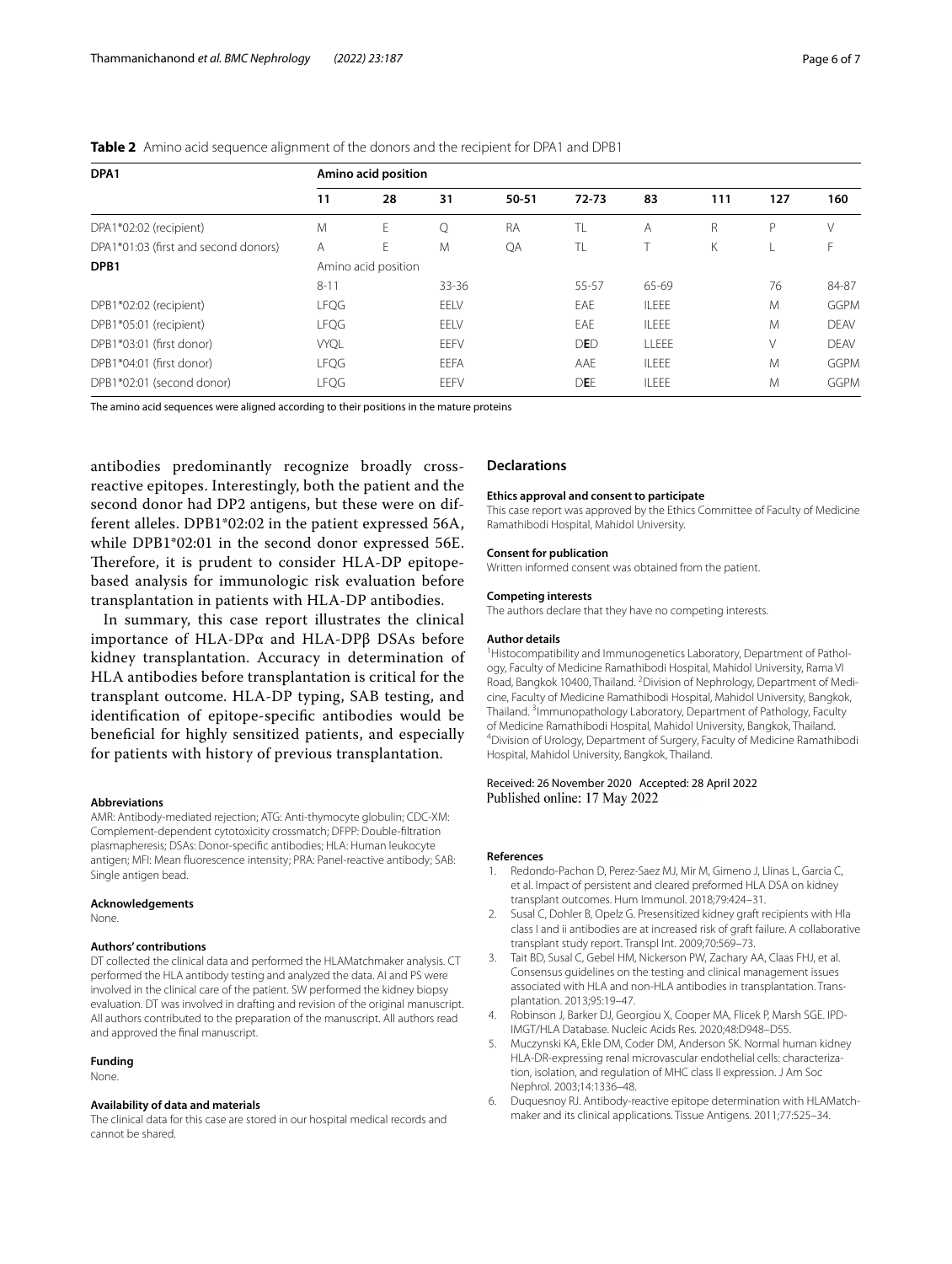| DPA1                                 | Amino acid position |    |           |           |            |              |     |     |             |
|--------------------------------------|---------------------|----|-----------|-----------|------------|--------------|-----|-----|-------------|
|                                      | 11                  | 28 | 31        | 50-51     | $72 - 73$  | 83           | 111 | 127 | 160         |
| DPA1*02:02 (recipient)               | M                   | E. | Q         | <b>RA</b> | TL         | Α            | R   | P   | V           |
| DPA1*01:03 (first and second donors) | A                   | E  | M         | QA        | TL         |              | Κ   |     | F.          |
| DPB <sub>1</sub>                     | Amino acid position |    |           |           |            |              |     |     |             |
|                                      | $8 - 11$            |    | $33 - 36$ |           | 55-57      | 65-69        |     | 76  | 84-87       |
| DPB1*02:02 (recipient)               | <b>LFQG</b>         |    | EELV      |           | EAE        | <b>ILEEE</b> |     | M   | <b>GGPM</b> |
| DPB1*05:01 (recipient)               | <b>LFQG</b>         |    | EELV      |           | EAE        | <b>ILEEE</b> |     | M   | <b>DEAV</b> |
| DPB1*03:01 (first donor)             | <b>VYQL</b>         |    | EEFV      |           | <b>DED</b> | LLEEE        |     | V   | <b>DFAV</b> |
| DPB1*04:01 (first donor)             | <b>LFQG</b>         |    | EEFA      |           | AAE        | <b>ILEEE</b> |     | M   | <b>GGPM</b> |
| DPB1*02:01 (second donor)            | <b>LFQG</b>         |    | EEFV      |           | DEE        | <b>ILEEE</b> |     | M   | <b>GGPM</b> |

<span id="page-5-6"></span>**Table 2** Amino acid sequence alignment of the donors and the recipient for DPA1 and DPB1

The amino acid sequences were aligned according to their positions in the mature proteins

antibodies predominantly recognize broadly crossreactive epitopes. Interestingly, both the patient and the second donor had DP2 antigens, but these were on different alleles. DPB1\*02:02 in the patient expressed 56A, while DPB1\*02:01 in the second donor expressed 56E. Therefore, it is prudent to consider HLA-DP epitopebased analysis for immunologic risk evaluation before transplantation in patients with HLA-DP antibodies.

In summary, this case report illustrates the clinical importance of HLA-DPα and HLA-DPβ DSAs before kidney transplantation. Accuracy in determination of HLA antibodies before transplantation is critical for the transplant outcome. HLA-DP typing, SAB testing, and identifcation of epitope-specifc antibodies would be benefcial for highly sensitized patients, and especially for patients with history of previous transplantation.

#### **Abbreviations**

AMR: Antibody-mediated rejection; ATG: Anti-thymocyte globulin; CDC-XM: Complement-dependent cytotoxicity crossmatch; DFPP: Double-fltration plasmapheresis; DSAs: Donor-specifc antibodies; HLA: Human leukocyte antigen; MFI: Mean fuorescence intensity; PRA: Panel-reactive antibody; SAB: Single antigen bead.

#### **Acknowledgements**

None.

#### **Authors' contributions**

DT collected the clinical data and performed the HLAMatchmaker analysis. CT performed the HLA antibody testing and analyzed the data. AI and PS were involved in the clinical care of the patient. SW performed the kidney biopsy evaluation. DT was involved in drafting and revision of the original manuscript. All authors contributed to the preparation of the manuscript. All authors read and approved the fnal manuscript.

#### **Funding**

None.

#### **Availability of data and materials**

The clinical data for this case are stored in our hospital medical records and cannot be shared.

#### **Declarations**

#### **Ethics approval and consent to participate**

This case report was approved by the Ethics Committee of Faculty of Medicine Ramathibodi Hospital, Mahidol University.

#### **Consent for publication**

Written informed consent was obtained from the patient.

#### **Competing interests**

The authors declare that they have no competing interests.

#### **Author details**

<sup>1</sup> Histocompatibility and Immunogenetics Laboratory, Department of Pathology, Faculty of Medicine Ramathibodi Hospital, Mahidol University, Rama VI Road, Bangkok 10400, Thailand. <sup>2</sup> Division of Nephrology, Department of Medicine, Faculty of Medicine Ramathibodi Hospital, Mahidol University, Bangkok, Thailand.<sup>3</sup> Immunopathology Laboratory, Department of Pathology, Faculty of Medicine Ramathibodi Hospital, Mahidol University, Bangkok, Thailand. 4 <sup>4</sup> Division of Urology, Department of Surgery, Faculty of Medicine Ramathibodi Hospital, Mahidol University, Bangkok, Thailand.

#### Received: 26 November 2020 Accepted: 28 April 2022 Published online: 17 May 2022

#### **References**

- <span id="page-5-0"></span>1. Redondo-Pachon D, Perez-Saez MJ, Mir M, Gimeno J, Llinas L, Garcia C, et al. Impact of persistent and cleared preformed HLA DSA on kidney transplant outcomes. Hum Immunol. 2018;79:424–31.
- <span id="page-5-1"></span>2. Susal C, Dohler B, Opelz G. Presensitized kidney graft recipients with Hla class I and ii antibodies are at increased risk of graft failure. A collaborative transplant study report. Transpl Int. 2009;70:569–73.
- <span id="page-5-2"></span>3. Tait BD, Susal C, Gebel HM, Nickerson PW, Zachary AA, Claas FHJ, et al. Consensus guidelines on the testing and clinical management issues associated with HLA and non-HLA antibodies in transplantation. Transplantation. 2013;95:19–47.
- <span id="page-5-3"></span>4. Robinson J, Barker DJ, Georgiou X, Cooper MA, Flicek P, Marsh SGE. IPD-IMGT/HLA Database. Nucleic Acids Res. 2020;48:D948–D55.
- <span id="page-5-4"></span>5. Muczynski KA, Ekle DM, Coder DM, Anderson SK. Normal human kidney HLA-DR-expressing renal microvascular endothelial cells: characterization, isolation, and regulation of MHC class II expression. J Am Soc Nephrol. 2003;14:1336–48.
- <span id="page-5-5"></span>6. Duquesnoy RJ. Antibody-reactive epitope determination with HLAMatchmaker and its clinical applications. Tissue Antigens. 2011;77:525–34.